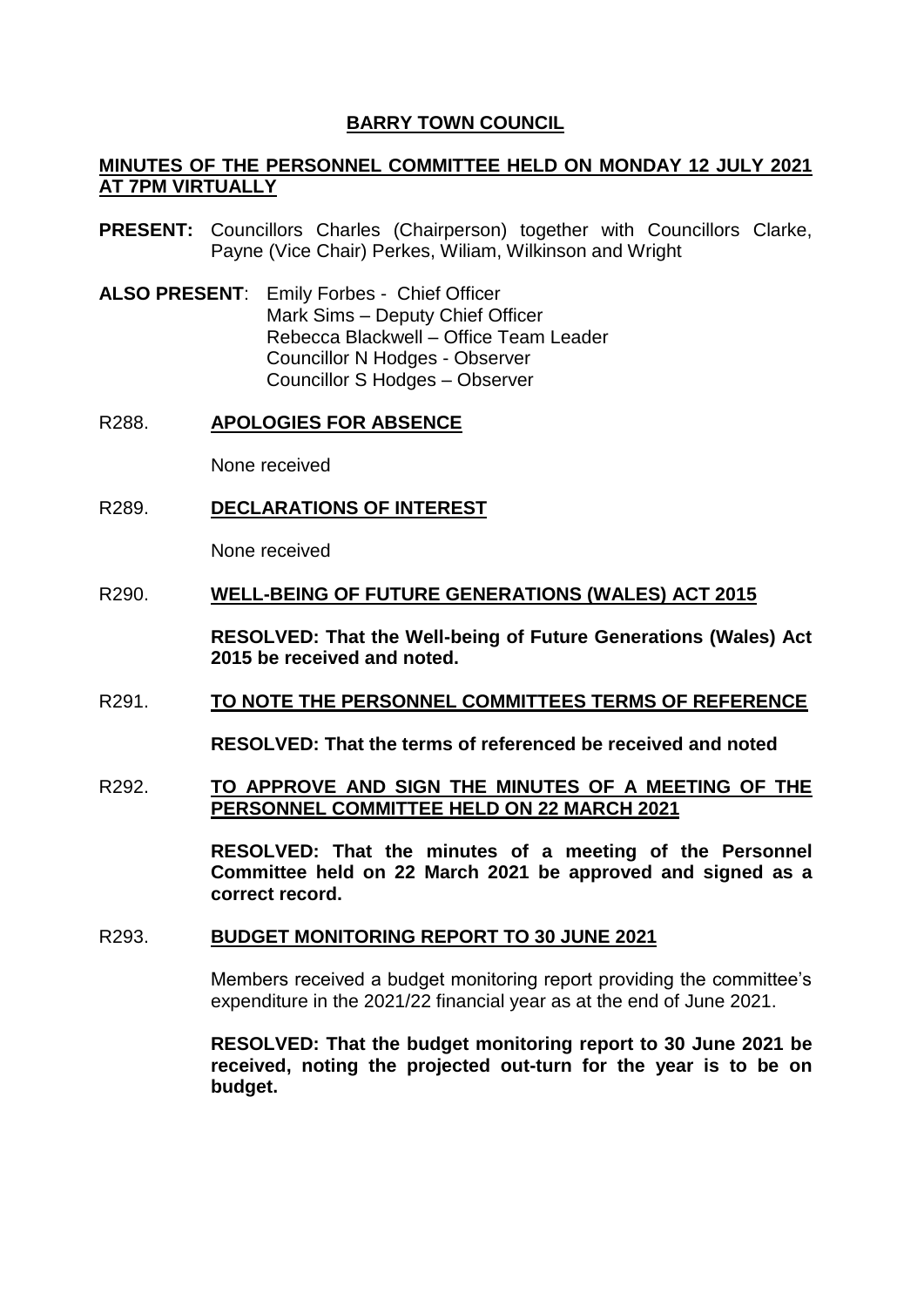# **BARRY TOWN COUNCIL**

# **MINUTES OF THE PERSONNEL COMMITTEE HELD ON MONDAY 12 JULY 2021 AT 7PM VIRTUALLY**

- **PRESENT:** Councillors Charles (Chairperson) together with Councillors Clarke, Payne (Vice Chair) Perkes, Wiliam, Wilkinson and Wright
- **ALSO PRESENT**: Emily Forbes Chief Officer Mark Sims – Deputy Chief Officer Rebecca Blackwell – Office Team Leader Councillor N Hodges - Observer Councillor S Hodges – Observer

### R288. **APOLOGIES FOR ABSENCE**

None received

R289. **DECLARATIONS OF INTEREST**

None received

## R290. **WELL-BEING OF FUTURE GENERATIONS (WALES) ACT 2015**

**RESOLVED: That the Well-being of Future Generations (Wales) Act 2015 be received and noted.**

## R291. **TO NOTE THE PERSONNEL COMMITTEES TERMS OF REFERENCE**

**RESOLVED: That the terms of referenced be received and noted** 

## R292. **TO APPROVE AND SIGN THE MINUTES OF A MEETING OF THE PERSONNEL COMMITTEE HELD ON 22 MARCH 2021**

**RESOLVED: That the minutes of a meeting of the Personnel Committee held on 22 March 2021 be approved and signed as a correct record.** 

## R293. **BUDGET MONITORING REPORT TO 30 JUNE 2021**

Members received a budget monitoring report providing the committee's expenditure in the 2021/22 financial year as at the end of June 2021.

**RESOLVED: That the budget monitoring report to 30 June 2021 be received, noting the projected out-turn for the year is to be on budget.**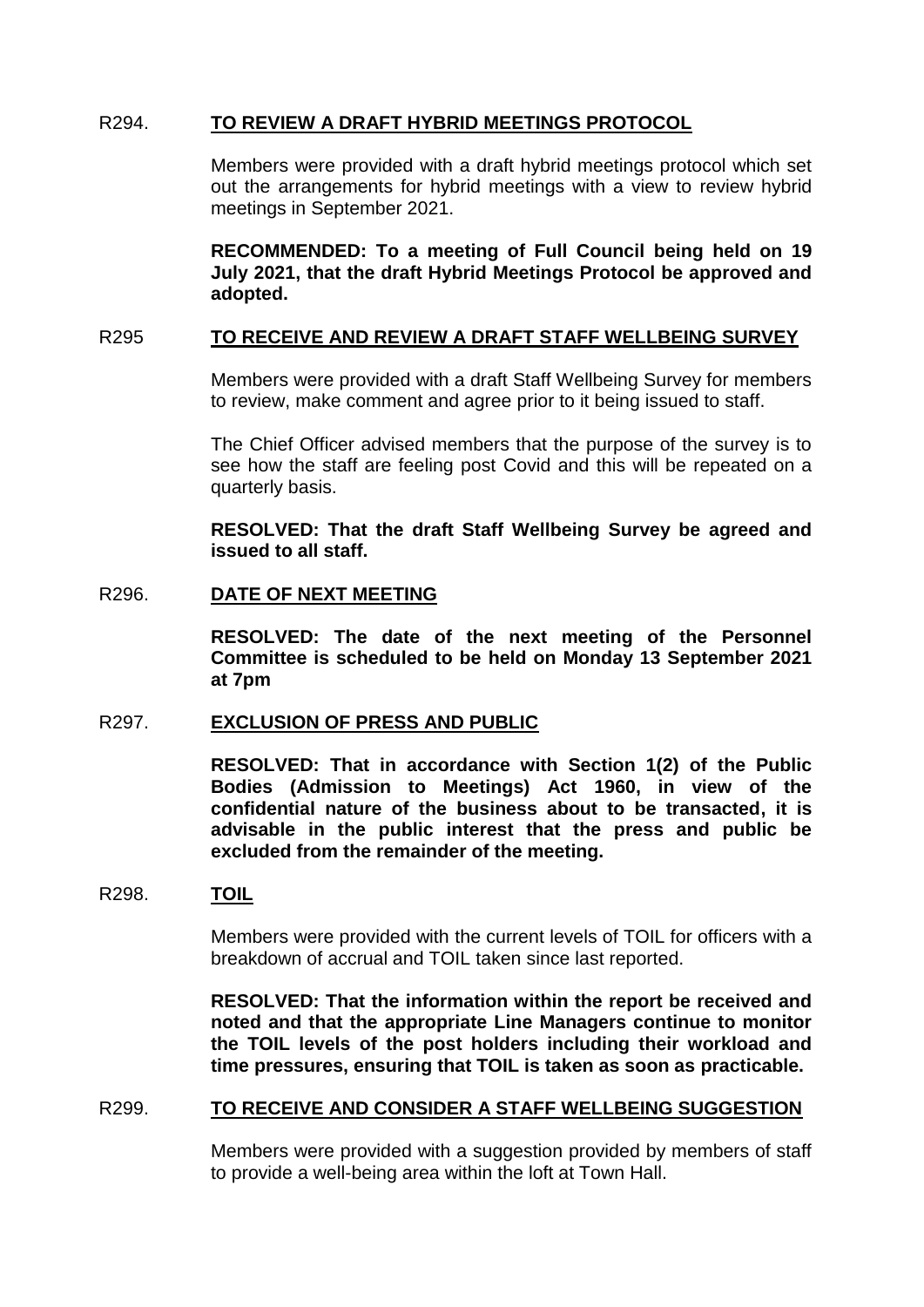# R294. **TO REVIEW A DRAFT HYBRID MEETINGS PROTOCOL**

Members were provided with a draft hybrid meetings protocol which set out the arrangements for hybrid meetings with a view to review hybrid meetings in September 2021.

**RECOMMENDED: To a meeting of Full Council being held on 19 July 2021, that the draft Hybrid Meetings Protocol be approved and adopted.** 

## R295 **TO RECEIVE AND REVIEW A DRAFT STAFF WELLBEING SURVEY**

Members were provided with a draft Staff Wellbeing Survey for members to review, make comment and agree prior to it being issued to staff.

The Chief Officer advised members that the purpose of the survey is to see how the staff are feeling post Covid and this will be repeated on a quarterly basis.

**RESOLVED: That the draft Staff Wellbeing Survey be agreed and issued to all staff.** 

## R296. **DATE OF NEXT MEETING**

**RESOLVED: The date of the next meeting of the Personnel Committee is scheduled to be held on Monday 13 September 2021 at 7pm**

#### R297. **EXCLUSION OF PRESS AND PUBLIC**

**RESOLVED: That in accordance with Section 1(2) of the Public Bodies (Admission to Meetings) Act 1960, in view of the confidential nature of the business about to be transacted, it is advisable in the public interest that the press and public be excluded from the remainder of the meeting.** 

#### R298. **TOIL**

Members were provided with the current levels of TOIL for officers with a breakdown of accrual and TOIL taken since last reported.

**RESOLVED: That the information within the report be received and noted and that the appropriate Line Managers continue to monitor the TOIL levels of the post holders including their workload and time pressures, ensuring that TOIL is taken as soon as practicable.** 

## R299. **TO RECEIVE AND CONSIDER A STAFF WELLBEING SUGGESTION**

Members were provided with a suggestion provided by members of staff to provide a well-being area within the loft at Town Hall.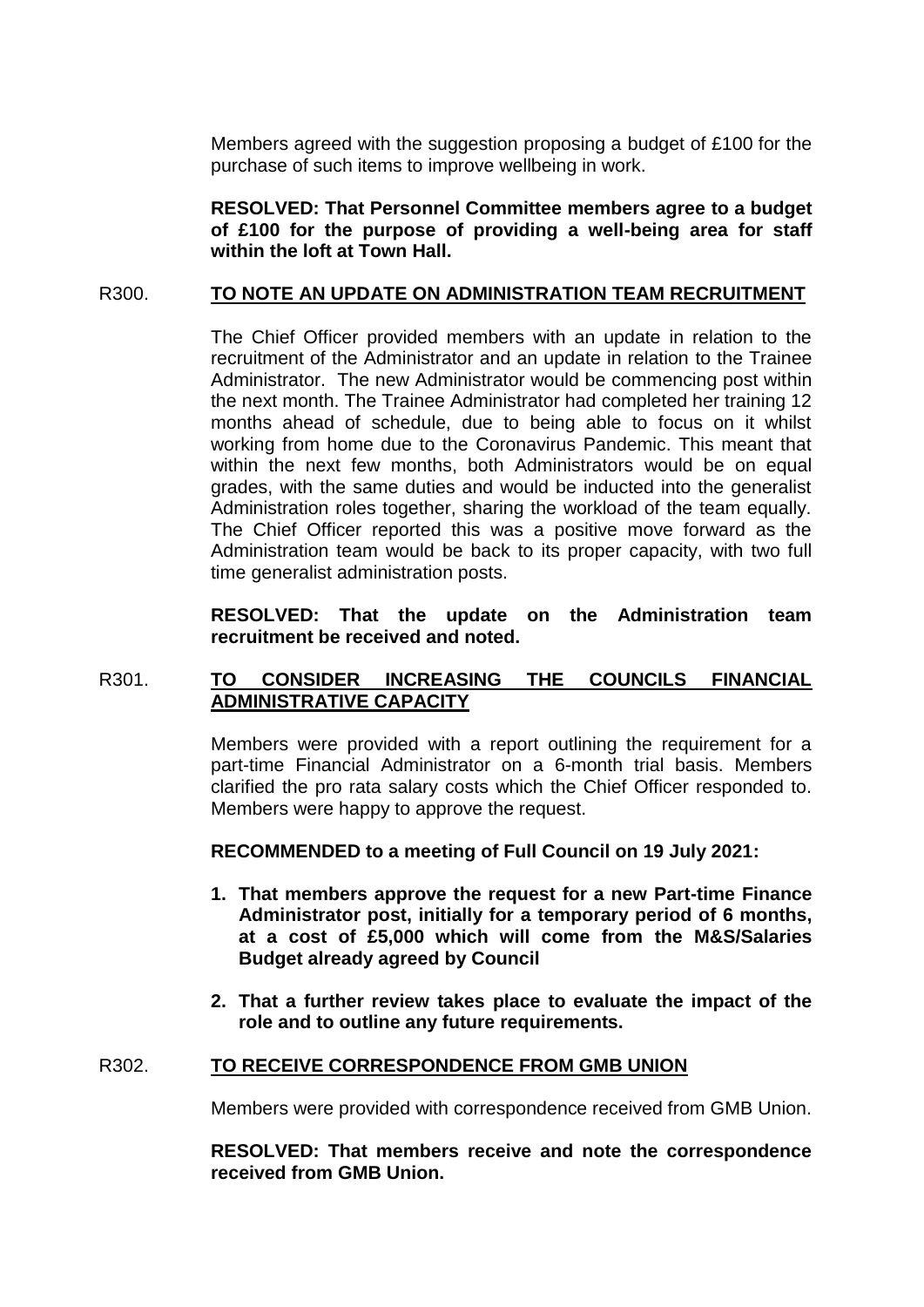Members agreed with the suggestion proposing a budget of £100 for the purchase of such items to improve wellbeing in work.

**RESOLVED: That Personnel Committee members agree to a budget of £100 for the purpose of providing a well-being area for staff within the loft at Town Hall.** 

## R300. **TO NOTE AN UPDATE ON ADMINISTRATION TEAM RECRUITMENT**

The Chief Officer provided members with an update in relation to the recruitment of the Administrator and an update in relation to the Trainee Administrator. The new Administrator would be commencing post within the next month. The Trainee Administrator had completed her training 12 months ahead of schedule, due to being able to focus on it whilst working from home due to the Coronavirus Pandemic. This meant that within the next few months, both Administrators would be on equal grades, with the same duties and would be inducted into the generalist Administration roles together, sharing the workload of the team equally. The Chief Officer reported this was a positive move forward as the Administration team would be back to its proper capacity, with two full time generalist administration posts.

**RESOLVED: That the update on the Administration team recruitment be received and noted.** 

# R301. **TO CONSIDER INCREASING THE COUNCILS FINANCIAL ADMINISTRATIVE CAPACITY**

Members were provided with a report outlining the requirement for a part-time Financial Administrator on a 6-month trial basis. Members clarified the pro rata salary costs which the Chief Officer responded to. Members were happy to approve the request.

**RECOMMENDED to a meeting of Full Council on 19 July 2021:** 

- **1. That members approve the request for a new Part-time Finance Administrator post, initially for a temporary period of 6 months, at a cost of £5,000 which will come from the M&S/Salaries Budget already agreed by Council**
- **2. That a further review takes place to evaluate the impact of the role and to outline any future requirements.**

# R302. **TO RECEIVE CORRESPONDENCE FROM GMB UNION**

Members were provided with correspondence received from GMB Union.

**RESOLVED: That members receive and note the correspondence received from GMB Union.**